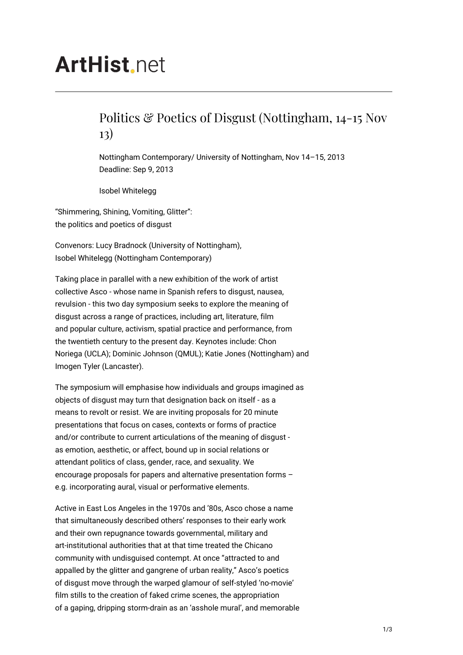# **ArtHist** net

## Politics & Poetics of Disgust (Nottingham, 14-15 Nov 13)

Nottingham Contemporary/ University of Nottingham, Nov 14–15, 2013 Deadline: Sep 9, 2013

Isobel Whitelegg

"Shimmering, Shining, Vomiting, Glitter": the politics and poetics of disgust

Convenors: Lucy Bradnock (University of Nottingham), Isobel Whitelegg (Nottingham Contemporary)

Taking place in parallel with a new exhibition of the work of artist collective Asco - whose name in Spanish refers to disgust, nausea, revulsion - this two day symposium seeks to explore the meaning of disgust across a range of practices, including art, literature, film and popular culture, activism, spatial practice and performance, from the twentieth century to the present day. Keynotes include: Chon Noriega (UCLA); Dominic Johnson (QMUL); Katie Jones (Nottingham) and Imogen Tyler (Lancaster).

The symposium will emphasise how individuals and groups imagined as objects of disgust may turn that designation back on itself - as a means to revolt or resist. We are inviting proposals for 20 minute presentations that focus on cases, contexts or forms of practice and/or contribute to current articulations of the meaning of disgust as emotion, aesthetic, or affect, bound up in social relations or attendant politics of class, gender, race, and sexuality. We encourage proposals for papers and alternative presentation forms – e.g. incorporating aural, visual or performative elements.

Active in East Los Angeles in the 1970s and '80s, Asco chose a name that simultaneously described others' responses to their early work and their own repugnance towards governmental, military and art-institutional authorities that at that time treated the Chicano community with undisguised contempt. At once "attracted to and appalled by the glitter and gangrene of urban reality," Asco's poetics of disgust move through the warped glamour of self-styled 'no-movie' film stills to the creation of faked crime scenes, the appropriation of a gaping, dripping storm-drain as an 'asshole mural', and memorable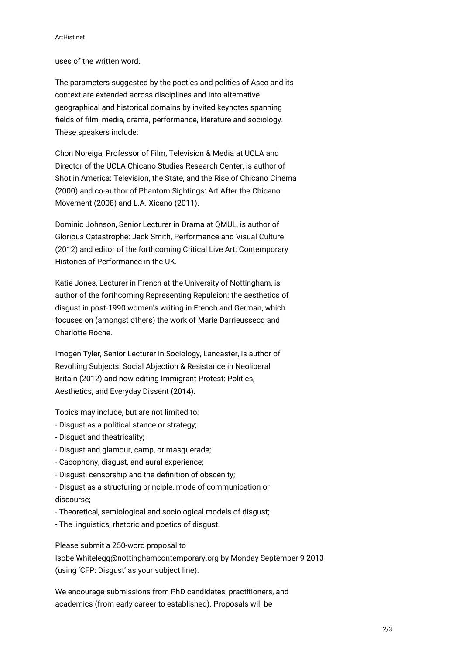#### ArtHist.net

uses of the written word.

The parameters suggested by the poetics and politics of Asco and its context are extended across disciplines and into alternative geographical and historical domains by invited keynotes spanning fields of film, media, drama, performance, literature and sociology. These speakers include:

Chon Noreiga, Professor of Film, Television & Media at UCLA and Director of the UCLA Chicano Studies Research Center, is author of Shot in America: Television, the State, and the Rise of Chicano Cinema (2000) and co-author of Phantom Sightings: Art After the Chicano Movement (2008) and L.A. Xicano (2011).

Dominic Johnson, Senior Lecturer in Drama at QMUL, is author of Glorious Catastrophe: Jack Smith, Performance and Visual Culture (2012) and editor of the forthcoming Critical Live Art: Contemporary Histories of Performance in the UK.

Katie Jones, Lecturer in French at the University of Nottingham, is author of the forthcoming Representing Repulsion: the aesthetics of disgust in post-1990 women's writing in French and German, which focuses on (amongst others) the work of Marie Darrieussecq and Charlotte Roche.

Imogen Tyler, Senior Lecturer in Sociology, Lancaster, is author of Revolting Subjects: Social Abjection & Resistance in Neoliberal Britain (2012) and now editing Immigrant Protest: Politics, Aesthetics, and Everyday Dissent (2014).

Topics may include, but are not limited to:

- Disgust as a political stance or strategy;
- Disgust and theatricality;
- Disgust and glamour, camp, or masquerade;
- Cacophony, disgust, and aural experience;
- Disgust, censorship and the definition of obscenity;
- Disgust as a structuring principle, mode of communication or discourse;
- Theoretical, semiological and sociological models of disgust;
- The linguistics, rhetoric and poetics of disgust.

Please submit a 250-word proposal to IsobelWhitelegg@nottinghamcontemporary.org by Monday September 9 2013 (using 'CFP: Disgust' as your subject line).

We encourage submissions from PhD candidates, practitioners, and academics (from early career to established). Proposals will be